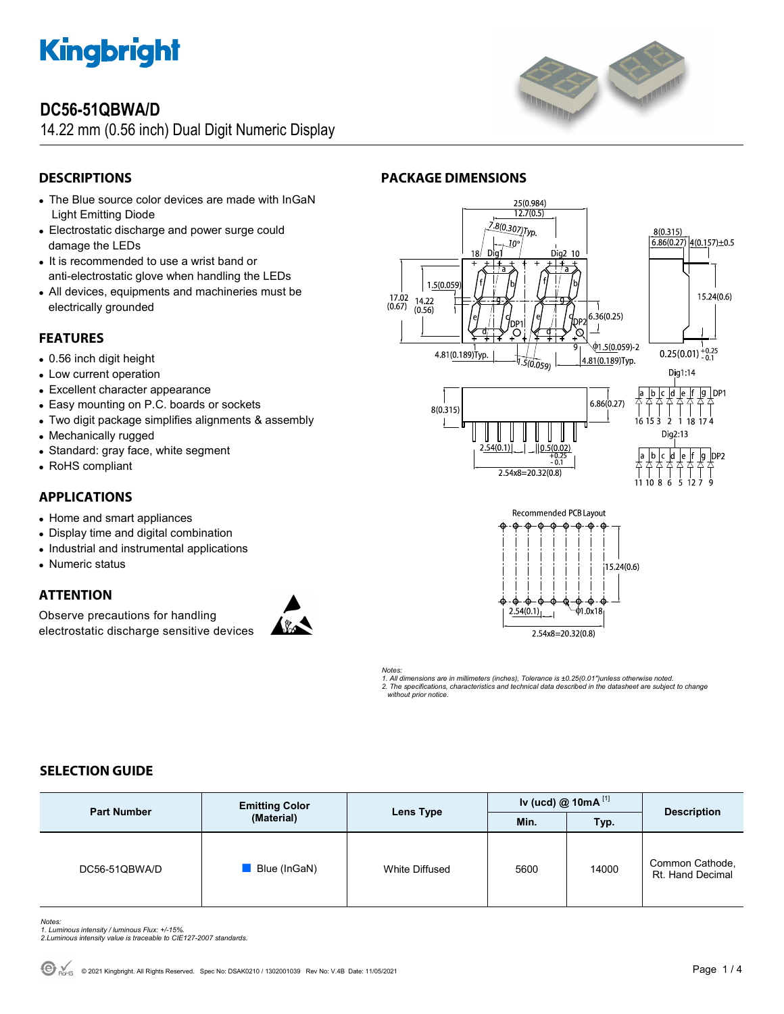

# **DC56-51QBWA/D**

14.22 mm (0.56 inch) Dual Digit Numeric Display



# **DESCRIPTIONS**

- The Blue source color devices are made with InGaN Light Emitting Diode
- Electrostatic discharge and power surge could damage the LEDs
- It is recommended to use a wrist band or anti-electrostatic glove when handling the LEDs
- All devices, equipments and machineries must be electrically grounded

# **FEATURES**

- 0.56 inch digit height
- Low current operation
- Excellent character appearance
- Easy mounting on P.C. boards or sockets
- Two digit package simplifies alignments & assembly
- Mechanically rugged
- Standard: gray face, white segment
- RoHS compliant

# **APPLICATIONS**

- Home and smart appliances
- Display time and digital combination
- Industrial and instrumental applications
- Numeric status

## **ATTENTION**

Observe precautions for handling electrostatic discharge sensitive devices







**PACKAGE DIMENSIONS** 







*Notes: 1. All dimensions are in millimeters (inches), Tolerance is ±0.25(0.01")unless otherwise noted. 2. The specifications, characteristics and technical data described in the datasheet are subject to change without prior notice.* 

# **SELECTION GUIDE**

| <b>Part Number</b> | <b>Emitting Color</b><br>(Material) | Lens Type      | Iv (ucd) $@$ 10mA $^{[1]}$ |       | <b>Description</b>                  |
|--------------------|-------------------------------------|----------------|----------------------------|-------|-------------------------------------|
|                    |                                     |                | Min.                       | Typ.  |                                     |
| DC56-51QBWA/D      | Blue (InGaN)                        | White Diffused | 5600                       | 14000 | Common Cathode,<br>Rt. Hand Decimal |

*Notes: 1. Luminous intensity / luminous Flux: +/-15%.* 

*2.Luminous intensity value is traceable to CIE127-2007 standards.*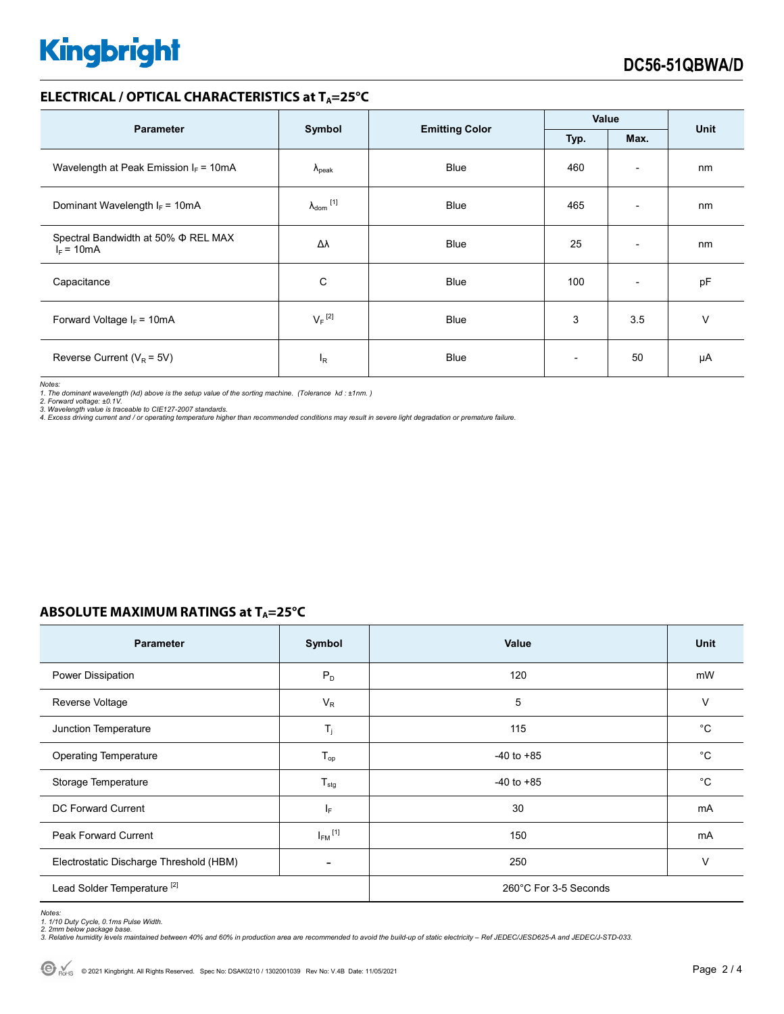# **Kingbright**

### **ELECTRICAL / OPTICAL CHARACTERISTICS at TA=25°C**

| <b>Parameter</b>                                         | Symbol                     | <b>Emitting Color</b> | Value |                          | <b>Unit</b> |
|----------------------------------------------------------|----------------------------|-----------------------|-------|--------------------------|-------------|
|                                                          |                            |                       | Typ.  | Max.                     |             |
| Wavelength at Peak Emission $I_F = 10mA$                 | $\Lambda_{\rm peak}$       | Blue                  | 460   | $\overline{\phantom{0}}$ | nm          |
| Dominant Wavelength $I_F = 10mA$                         | $\lambda_{\text{dom}}$ [1] | <b>Blue</b>           | 465   | $\overline{\phantom{0}}$ | nm          |
| Spectral Bandwidth at 50% $\Phi$ REL MAX<br>$I_F = 10mA$ | Δλ                         | <b>Blue</b>           | 25    | $\overline{\phantom{a}}$ | nm          |
| Capacitance                                              | C                          | <b>Blue</b>           | 100   | $\overline{\phantom{0}}$ | pF          |
| Forward Voltage $I_F = 10mA$                             | $V_F$ <sup>[2]</sup>       | <b>Blue</b>           | 3     | 3.5                      | V           |
| Reverse Current ( $V_R$ = 5V)                            | $I_R$                      | Blue                  |       | 50                       | μA          |

*Notes:* 

*1. The dominant wavelength (*λ*d) above is the setup value of the sorting machine. (Tolerance* λ*d : ±1nm. )* 

*2. Forward voltage: ±0.1V. 3. Wavelength value is traceable to CIE127-2007 standards.* 

*4. Excess driving current and / or operating temperature higher than recommended conditions may result in severe light degradation or premature failure.* 

# **ABSOLUTE MAXIMUM RATINGS at TA=25°C**

| <b>Parameter</b>                        | Symbol                  | Value                 | Unit         |  |
|-----------------------------------------|-------------------------|-----------------------|--------------|--|
| Power Dissipation                       | $P_D$                   | 120                   | mW           |  |
| Reverse Voltage                         | $V_R$                   | 5                     | V            |  |
| Junction Temperature                    | $T_j$                   | 115                   | $^{\circ}$ C |  |
| <b>Operating Temperature</b>            | $T_{op}$                | $-40$ to $+85$        | $^{\circ}C$  |  |
| Storage Temperature                     | $T_{\text{stg}}$        | $-40$ to $+85$        | $^{\circ}C$  |  |
| <b>DC Forward Current</b>               | IF.                     | 30                    | mA           |  |
| <b>Peak Forward Current</b>             | $I_{FM}$ <sup>[1]</sup> | 150                   | mA           |  |
| Electrostatic Discharge Threshold (HBM) |                         | 250                   | $\vee$       |  |
| Lead Solder Temperature <sup>[2]</sup>  |                         | 260°C For 3-5 Seconds |              |  |

Notes:<br>1. 1/10 Duty Cycle, 0.1ms Pulse Width.<br>2. 2mm below package base.<br>3. Relative humidity levels maintained between 40% and 60% in production area are recommended to avoid the build-up of static electricity – Ref JEDEC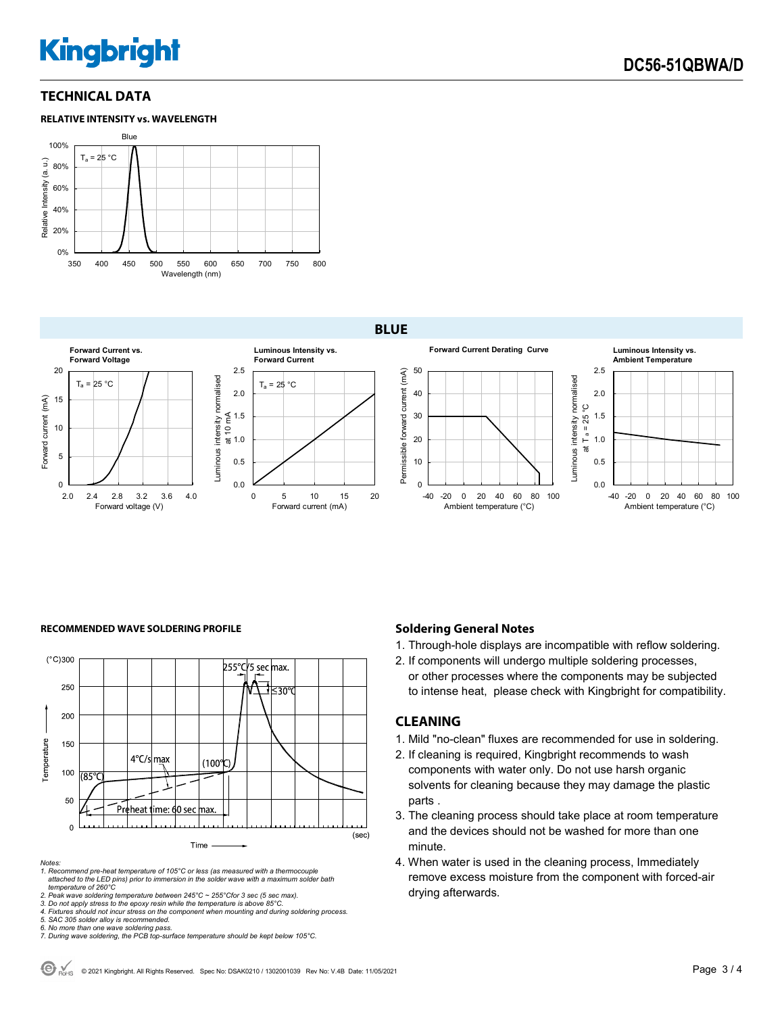# **Kingbright**

## **TECHNICAL DATA**



#### **BLUE**



#### **RECOMMENDED WAVE SOLDERING PROFILE <b>A CONDUCT A CONDUCT SOLDERING PROFILE Soldering General Notes**



*Notes:* 

*1. Recommend pre-heat temperature of 105°C or less (as measured with a thermocouple attached to the LED pins) prior to immersion in the solder wave with a maximum solder bath temperature of 260°C* 

2. Peak wave soldering temperature between 245°C ~ 255°Cfor 3 sec (5 sec max).<br>3. Do not apply stress to the epoxy resin while the temperature is above 85°C.<br>4. Fixtures should not incur stress on the component when mounti

*5. SAC 305 solder alloy is recommended.* 

*6. No more than one wave soldering pass. 7. During wave soldering, the PCB top-surface temperature should be kept below 105°C.*

1. Through-hole displays are incompatible with reflow soldering.

2. If components will undergo multiple soldering processes, or other processes where the components may be subjected to intense heat, please check with Kingbright for compatibility.

### **CLEANING**

- 1. Mild "no-clean" fluxes are recommended for use in soldering.
- 2. If cleaning is required, Kingbright recommends to wash components with water only. Do not use harsh organic solvents for cleaning because they may damage the plastic parts .
- 3. The cleaning process should take place at room temperature and the devices should not be washed for more than one minute.
- 4. When water is used in the cleaning process, Immediately remove excess moisture from the component with forced-air drying afterwards.